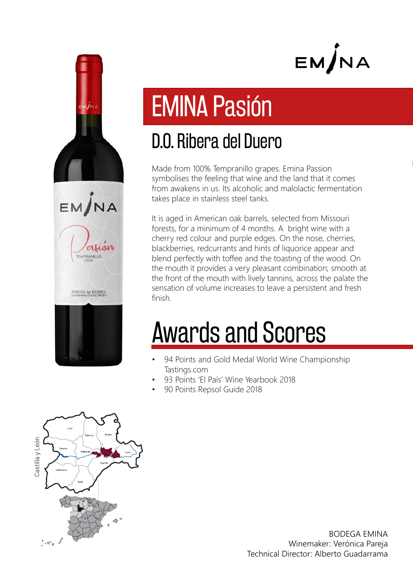



### D.O. Ribera del Duero

Made from 100% Tempranillo grapes. Emina Passion symbolises the feeling that wine and the land that it comes from awakens in us. Its alcoholic and malolactic fermentation takes place in stainless steel tanks.

It is aged in American oak barrels, selected from Missouri forests, for a minimum of 4 months. A bright wine with a cherry red colour and purple edges. On the nose, cherries, blackberries, redcurrants and hints of liquorice appear and blend perfectly with toffee and the toasting of the wood. On the mouth it provides a very pleasant combination; smooth at the front of the mouth with lively tannins, across the palate the sensation of volume increases to leave a persistent and fresh finish.

## Awards and Scores

- 94 Points and Gold Medal World Wine Championship Tastings.com
- 93 Points 'El País' Wine Yearbook 2018
- 90 Points Repsol Guide 2018



EM/NA

EMPRANILLO

RIBERA del DUERO

BODEGA EMINA Winemaker: Verónica Pareja Technical Director: Alberto Guadarrama